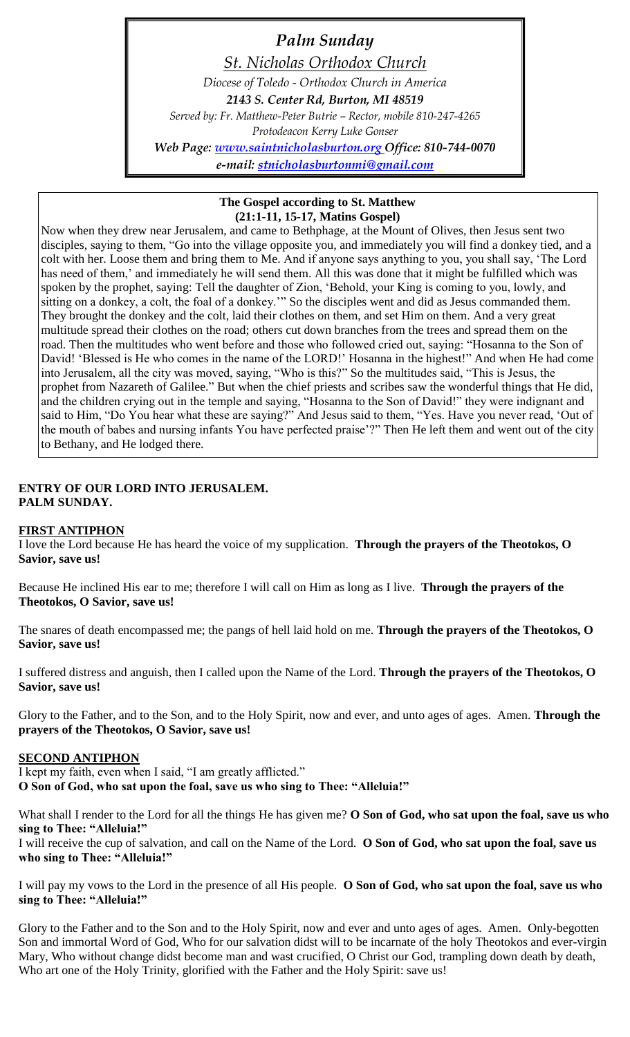*Palm Sunday St. Nicholas Orthodox Church Diocese of Toledo - Orthodox Church in America 2143 S. Center Rd, Burton, MI 48519 Served by: Fr. Matthew-Peter Butrie – Rector, mobile 810-247-4265 Protodeacon Kerry Luke Gonser Web Page: [www.saintnicholasburton.org](http://www.saintnicholasburton.org/) Office: 810-744-0070 e-mail: [stnicholasburtonmi@gmail.com](mailto:stnicholasburtonmi@gmail.com)*

### **The Gospel according to St. Matthew (21:1-11, 15-17, Matins Gospel)**

Now when they drew near Jerusalem, and came to Bethphage, at the Mount of Olives, then Jesus sent two disciples, saying to them, "Go into the village opposite you, and immediately you will find a donkey tied, and a colt with her. Loose them and bring them to Me. And if anyone says anything to you, you shall say, 'The Lord has need of them,' and immediately he will send them. All this was done that it might be fulfilled which was spoken by the prophet, saying: Tell the daughter of Zion, 'Behold, your King is coming to you, lowly, and sitting on a donkey, a colt, the foal of a donkey.'" So the disciples went and did as Jesus commanded them. They brought the donkey and the colt, laid their clothes on them, and set Him on them. And a very great multitude spread their clothes on the road; others cut down branches from the trees and spread them on the road. Then the multitudes who went before and those who followed cried out, saying: "Hosanna to the Son of David! 'Blessed is He who comes in the name of the LORD!' Hosanna in the highest!" And when He had come into Jerusalem, all the city was moved, saying, "Who is this?" So the multitudes said, "This is Jesus, the prophet from Nazareth of Galilee." But when the chief priests and scribes saw the wonderful things that He did, and the children crying out in the temple and saying, "Hosanna to the Son of David!" they were indignant and said to Him, "Do You hear what these are saying?" And Jesus said to them, "Yes. Have you never read, 'Out of the mouth of babes and nursing infants You have perfected praise'?" Then He left them and went out of the city to Bethany, and He lodged there.

## **ENTRY OF OUR LORD INTO JERUSALEM. PALM SUNDAY.**

### **FIRST ANTIPHON**

I love the Lord because He has heard the voice of my supplication. **Through the prayers of the Theotokos, O Savior, save us!**

Because He inclined His ear to me; therefore I will call on Him as long as I live. **Through the prayers of the Theotokos, O Savior, save us!**

The snares of death encompassed me; the pangs of hell laid hold on me. **Through the prayers of the Theotokos, O Savior, save us!**

I suffered distress and anguish, then I called upon the Name of the Lord. **Through the prayers of the Theotokos, O Savior, save us!**

Glory to the Father, and to the Son, and to the Holy Spirit, now and ever, and unto ages of ages. Amen. **Through the prayers of the Theotokos, O Savior, save us!**

### **SECOND ANTIPHON**

I kept my faith, even when I said, "I am greatly afflicted." **O Son of God, who sat upon the foal, save us who sing to Thee: "Alleluia!"**

What shall I render to the Lord for all the things He has given me? **O Son of God, who sat upon the foal, save us who sing to Thee: "Alleluia!"**

I will receive the cup of salvation, and call on the Name of the Lord. **O Son of God, who sat upon the foal, save us who sing to Thee: "Alleluia!"**

I will pay my vows to the Lord in the presence of all His people. **O Son of God, who sat upon the foal, save us who sing to Thee: "Alleluia!"**

Glory to the Father and to the Son and to the Holy Spirit, now and ever and unto ages of ages. Amen. Only-begotten Son and immortal Word of God, Who for our salvation didst will to be incarnate of the holy Theotokos and ever-virgin Mary, Who without change didst become man and wast crucified, O Christ our God, trampling down death by death, Who art one of the Holy Trinity, glorified with the Father and the Holy Spirit: save us!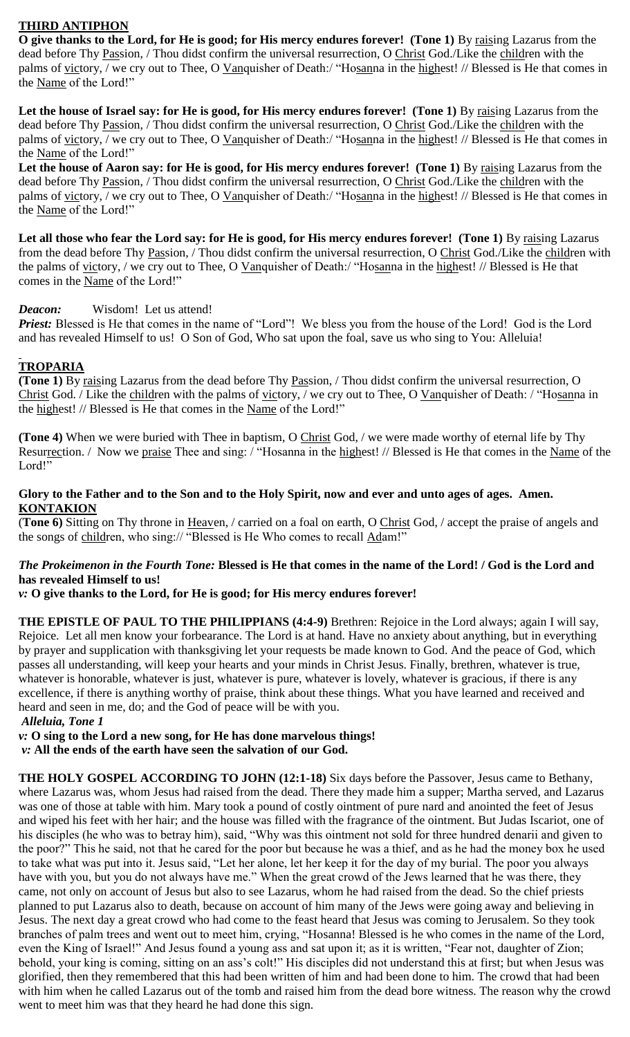# **THIRD ANTIPHON**

**O give thanks to the Lord, for He is good; for His mercy endures forever! (Tone 1)** By raising Lazarus from the dead before Thy Passion, / Thou didst confirm the universal resurrection, O Christ God./Like the children with the palms of victory, / we cry out to Thee, O Vanquisher of Death:/ "Hosanna in the highest! // Blessed is He that comes in the Name of the Lord!"

**Let the house of Israel say: for He is good, for His mercy endures forever! (Tone 1)** By raising Lazarus from the dead before Thy Passion, / Thou didst confirm the universal resurrection, O Christ God./Like the children with the palms of victory, / we cry out to Thee, O Vanquisher of Death:/ "Hosanna in the highest! // Blessed is He that comes in the Name of the Lord!"

Let the house of Aaron say: for He is good, for His mercy endures forever! (Tone 1) By raising Lazarus from the dead before Thy Passion, / Thou didst confirm the universal resurrection, O Christ God./Like the children with the palms of victory, / we cry out to Thee, O Vanquisher of Death:/ "Hosanna in the highest! // Blessed is He that comes in the Name of the Lord!"

Let all those who fear the Lord say: for He is good, for His mercy endures forever! (Tone 1) By raising Lazarus from the dead before Thy Passion, / Thou didst confirm the universal resurrection, O Christ God./Like the children with the palms of victory, / we cry out to Thee, O Vanquisher of Death:/ "Hosanna in the highest! // Blessed is He that comes in the Name of the Lord!"

### *Deacon:* Wisdom! Let us attend!

*Priest:* Blessed is He that comes in the name of "Lord"! We bless you from the house of the Lord! God is the Lord and has revealed Himself to us! O Son of God, Who sat upon the foal, save us who sing to You: Alleluia!

## **TROPARIA**

**(Tone 1)** By raising Lazarus from the dead before Thy Passion, / Thou didst confirm the universal resurrection, O Christ God. / Like the children with the palms of victory, / we cry out to Thee, O Vanquisher of Death: / "Hosanna in the highest! // Blessed is He that comes in the Name of the Lord!"

**(Tone 4)** When we were buried with Thee in baptism, O Christ God, / we were made worthy of eternal life by Thy Resurrection. / Now we praise Thee and sing: / "Hosanna in the highest! // Blessed is He that comes in the Name of the Lord!"

#### **Glory to the Father and to the Son and to the Holy Spirit, now and ever and unto ages of ages. Amen. KONTAKION**

(**Tone 6)** Sitting on Thy throne in Heaven, / carried on a foal on earth, O Christ God, / accept the praise of angels and the songs of children, who sing:// "Blessed is He Who comes to recall Adam!"

## *The Prokeimenon in the Fourth Tone:* **Blessed is He that comes in the name of the Lord! / God is the Lord and has revealed Himself to us!**

## *v:* **O give thanks to the Lord, for He is good; for His mercy endures forever!**

**THE EPISTLE OF PAUL TO THE PHILIPPIANS (4:4-9)** Brethren: Rejoice in the Lord always; again I will say, Rejoice. Let all men know your forbearance. The Lord is at hand. Have no anxiety about anything, but in everything by prayer and supplication with thanksgiving let your requests be made known to God. And the peace of God, which passes all understanding, will keep your hearts and your minds in Christ Jesus. Finally, brethren, whatever is true, whatever is honorable, whatever is just, whatever is pure, whatever is lovely, whatever is gracious, if there is any excellence, if there is anything worthy of praise, think about these things. What you have learned and received and heard and seen in me, do; and the God of peace will be with you.

### *Alleluia, Tone 1*

## *v:* **O sing to the Lord a new song, for He has done marvelous things!**

*v:* **All the ends of the earth have seen the salvation of our God.**

**THE HOLY GOSPEL ACCORDING TO JOHN (12:1-18)** Six days before the Passover, Jesus came to Bethany, where Lazarus was, whom Jesus had raised from the dead. There they made him a supper; Martha served, and Lazarus was one of those at table with him. Mary took a pound of costly ointment of pure nard and anointed the feet of Jesus and wiped his feet with her hair; and the house was filled with the fragrance of the ointment. But Judas Iscariot, one of his disciples (he who was to betray him), said, "Why was this ointment not sold for three hundred denarii and given to the poor?" This he said, not that he cared for the poor but because he was a thief, and as he had the money box he used to take what was put into it. Jesus said, "Let her alone, let her keep it for the day of my burial. The poor you always have with you, but you do not always have me." When the great crowd of the Jews learned that he was there, they came, not only on account of Jesus but also to see Lazarus, whom he had raised from the dead. So the chief priests planned to put Lazarus also to death, because on account of him many of the Jews were going away and believing in Jesus. The next day a great crowd who had come to the feast heard that Jesus was coming to Jerusalem. So they took branches of palm trees and went out to meet him, crying, "Hosanna! Blessed is he who comes in the name of the Lord, even the King of Israel!" And Jesus found a young ass and sat upon it; as it is written, "Fear not, daughter of Zion; behold, your king is coming, sitting on an ass's colt!" His disciples did not understand this at first; but when Jesus was glorified, then they remembered that this had been written of him and had been done to him. The crowd that had been with him when he called Lazarus out of the tomb and raised him from the dead bore witness. The reason why the crowd went to meet him was that they heard he had done this sign.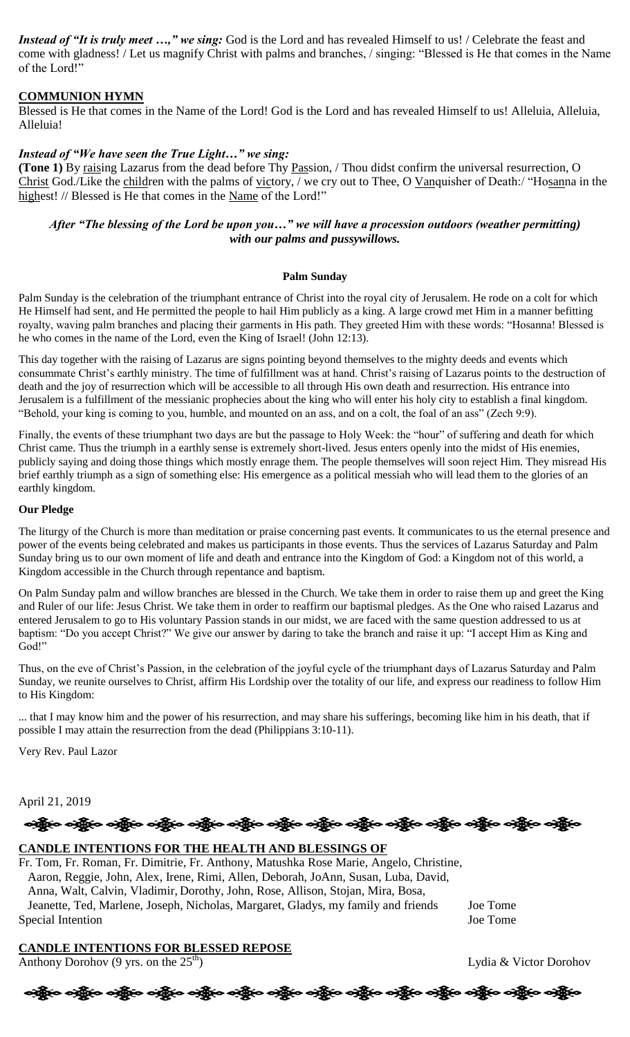*Instead of "It is truly meet ...," we sing:* God is the Lord and has revealed Himself to us! / Celebrate the feast and come with gladness! / Let us magnify Christ with palms and branches, / singing: "Blessed is He that comes in the Name of the Lord!"

#### **COMMUNION HYMN**

Blessed is He that comes in the Name of the Lord! God is the Lord and has revealed Himself to us! Alleluia, Alleluia, Alleluia!

### *Instead of "We have seen the True Light…" we sing:*

**(Tone 1)** By raising Lazarus from the dead before Thy Passion, / Thou didst confirm the universal resurrection, O Christ God./Like the children with the palms of victory, / we cry out to Thee, O Vanquisher of Death:/ "Hosanna in the highest! // Blessed is He that comes in the Name of the Lord!"

### *After "The blessing of the Lord be upon you…" we will have a procession outdoors (weather permitting) with our palms and pussywillows.*

#### **Palm Sunday**

Palm Sunday is the celebration of the triumphant entrance of Christ into the royal city of Jerusalem. He rode on a colt for which He Himself had sent, and He permitted the people to hail Him publicly as a king. A large crowd met Him in a manner befitting royalty, waving palm branches and placing their garments in His path. They greeted Him with these words: "Hosanna! Blessed is he who comes in the name of the Lord, even the King of Israel! (John 12:13).

This day together with the raising of Lazarus are signs pointing beyond themselves to the mighty deeds and events which consummate Christ's earthly ministry. The time of fulfillment was at hand. Christ's raising of Lazarus points to the destruction of death and the joy of resurrection which will be accessible to all through His own death and resurrection. His entrance into Jerusalem is a fulfillment of the messianic prophecies about the king who will enter his holy city to establish a final kingdom. "Behold, your king is coming to you, humble, and mounted on an ass, and on a colt, the foal of an ass" (Zech 9:9).

Finally, the events of these triumphant two days are but the passage to Holy Week: the "hour" of suffering and death for which Christ came. Thus the triumph in a earthly sense is extremely short-lived. Jesus enters openly into the midst of His enemies, publicly saying and doing those things which mostly enrage them. The people themselves will soon reject Him. They misread His brief earthly triumph as a sign of something else: His emergence as a political messiah who will lead them to the glories of an earthly kingdom.

#### **Our Pledge**

The liturgy of the Church is more than meditation or praise concerning past events. It communicates to us the eternal presence and power of the events being celebrated and makes us participants in those events. Thus the services of Lazarus Saturday and Palm Sunday bring us to our own moment of life and death and entrance into the Kingdom of God: a Kingdom not of this world, a Kingdom accessible in the Church through repentance and baptism.

On Palm Sunday palm and willow branches are blessed in the Church. We take them in order to raise them up and greet the King and Ruler of our life: Jesus Christ. We take them in order to reaffirm our baptismal pledges. As the One who raised Lazarus and entered Jerusalem to go to His voluntary Passion stands in our midst, we are faced with the same question addressed to us at baptism: "Do you accept Christ?" We give our answer by daring to take the branch and raise it up: "I accept Him as King and God!"

Thus, on the eve of Christ's Passion, in the celebration of the joyful cycle of the triumphant days of Lazarus Saturday and Palm Sunday, we reunite ourselves to Christ, affirm His Lordship over the totality of our life, and express our readiness to follow Him to His Kingdom:

... that I may know him and the power of his resurrection, and may share his sufferings, becoming like him in his death, that if possible I may attain the resurrection from the dead (Philippians 3:10-11).

Very Rev. Paul Lazor

April 21, 2019



### **CANDLE INTENTIONS FOR THE HEALTH AND BLESSINGS OF**

Fr. Tom, Fr. Roman, Fr. Dimitrie, Fr. Anthony, Matushka Rose Marie, Angelo, Christine, Aaron, Reggie, John, Alex, Irene, Rimi, Allen, Deborah, JoAnn, Susan, Luba, David, Anna, Walt, Calvin, Vladimir, Dorothy, John, Rose, Allison, Stojan, Mira, Bosa, Jeanette, Ted, Marlene, Joseph, Nicholas, Margaret, Gladys, my family and friends Joe Tome Special Intention Joe Tome

#### **CANDLE INTENTIONS FOR BLESSED REPOSE**

Anthony Dorohov (9 yrs. on the  $25^{th}$ ) Lydia & Victor Dorohov

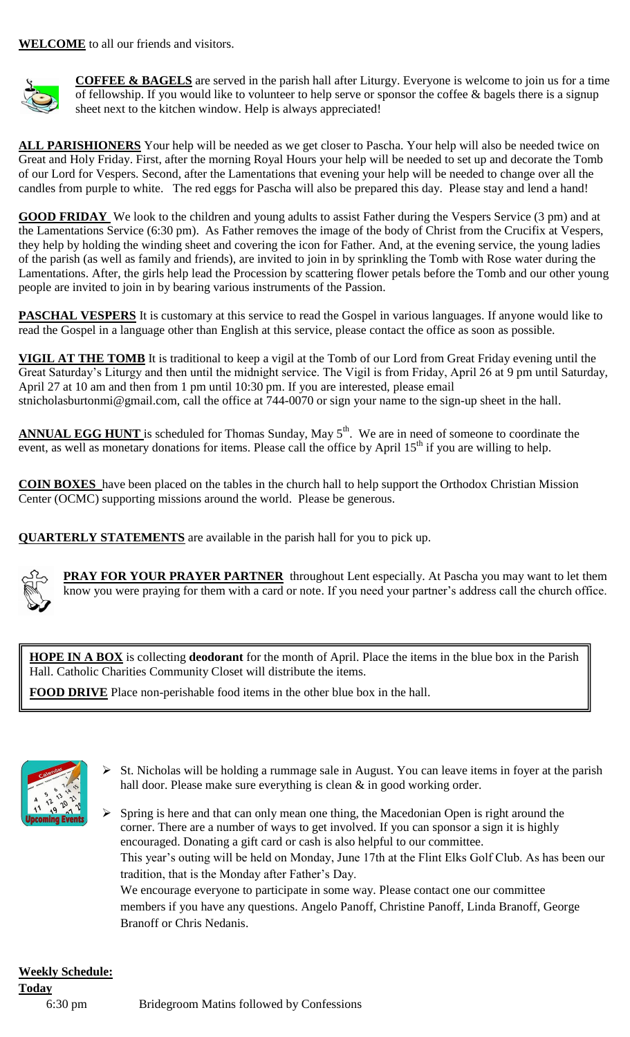**WELCOME** to all our friends and visitors.



**COFFEE & BAGELS** are served in the parish hall after Liturgy. Everyone is welcome to join us for a time of fellowship. If you would like to volunteer to help serve or sponsor the coffee & bagels there is a signup sheet next to the kitchen window. Help is always appreciated!

ALL PARISHIONERS Your help will be needed as we get closer to Pascha. Your help will also be needed twice on Great and Holy Friday. First, after the morning Royal Hours your help will be needed to set up and decorate the Tomb of our Lord for Vespers. Second, after the Lamentations that evening your help will be needed to change over all the candles from purple to white. The red eggs for Pascha will also be prepared this day. Please stay and lend a hand!

**GOOD FRIDAY** We look to the children and young adults to assist Father during the Vespers Service (3 pm) and at the Lamentations Service (6:30 pm). As Father removes the image of the body of Christ from the Crucifix at Vespers, they help by holding the winding sheet and covering the icon for Father. And, at the evening service, the young ladies of the parish (as well as family and friends), are invited to join in by sprinkling the Tomb with Rose water during the Lamentations. After, the girls help lead the Procession by scattering flower petals before the Tomb and our other young people are invited to join in by bearing various instruments of the Passion.

**PASCHAL VESPERS** It is customary at this service to read the Gospel in various languages. If anyone would like to read the Gospel in a language other than English at this service, please contact the office as soon as possible.

**VIGIL AT THE TOMB** It is traditional to keep a vigil at the Tomb of our Lord from Great Friday evening until the Great Saturday's Liturgy and then until the midnight service. The Vigil is from Friday, April 26 at 9 pm until Saturday, April 27 at 10 am and then from 1 pm until 10:30 pm. If you are interested, please email stnicholasburtonmi@gmail.com, call the office at 744-0070 or sign your name to the sign-up sheet in the hall.

ANNUAL EGG HUNT is scheduled for Thomas Sunday, May 5<sup>th</sup>. We are in need of someone to coordinate the event, as well as monetary donations for items. Please call the office by April  $15<sup>th</sup>$  if you are willing to help.

**COIN BOXES** have been placed on the tables in the church hall to help support the Orthodox Christian Mission Center (OCMC) supporting missions around the world. Please be generous.

**QUARTERLY STATEMENTS** are available in the parish hall for you to pick up.



**PRAY FOR YOUR PRAYER PARTNER** throughout Lent especially. At Pascha you may want to let them know you were praying for them with a card or note. If you need your partner's address call the church office.

**HOPE IN A BOX** is collecting **deodorant** for the month of April. Place the items in the blue box in the Parish Hall. Catholic Charities Community Closet will distribute the items.

**FOOD DRIVE** Place non-perishable food items in the other blue box in the hall.



- St. Nicholas will be holding a rummage sale in August. You can leave items in foyer at the parish hall door. Please make sure everything is clean & in good working order.
- Spring is here and that can only mean one thing, the Macedonian Open is right around the corner. There are a number of ways to get involved. If you can sponsor a sign it is highly encouraged. Donating a gift card or cash is also helpful to our committee. This year's outing will be held on Monday, June 17th at the Flint Elks Golf Club. As has been our tradition, that is the Monday after Father's Day. We encourage everyone to participate in some way. Please contact one our committee members if you have any questions. Angelo Panoff, Christine Panoff, Linda Branoff, George

Branoff or Chris Nedanis.